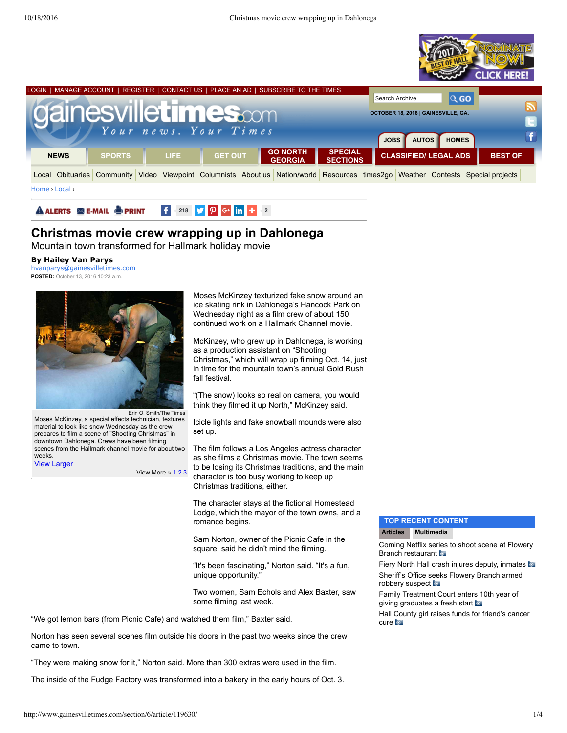



View [Larger](javascript:void(0))



## **Christmas movie crew wrapping up in Dahlonega**

Mountain town transformed for Hallmark holiday movie

#### **By Hailey Van Parys**

[hvanparys@gainesvilletimes.com](mailto:hvanparys@gainesvilletimes.com) **POSTED:** October 13, 2016 10:23 a.m.



Erin O. Smith/The Times Moses McKinzey, a special effects technician, textures material to look like snow Wednesday as the crew prepares to film a scene of "Shooting Christmas" in downtown Dahlonega. Crews have been filming scenes from the Hallmark channel movie for about two weeks.

View More » [1](javascript:void(0);) [2](javascript:void(0);) [3](javascript:void(0);)

Moses McKinzey texturized fake snow around an ice skating rink in Dahlonega's Hancock Park on Wednesday night as a film crew of about 150 continued work on a Hallmark Channel movie.

McKinzey, who grew up in Dahlonega, is working as a production assistant on "Shooting Christmas," which will wrap up filming Oct. 14, just in time for the mountain town's annual Gold Rush fall festival.

"(The snow) looks so real on camera, you would think they filmed it up North," McKinzey said.

Icicle lights and fake snowball mounds were also set up.

The film follows a Los Angeles actress character as she films a Christmas movie. The town seems to be losing its Christmas traditions, and the main character is too busy working to keep up Christmas traditions, either.

The character stays at the fictional Homestead Lodge, which the mayor of the town owns, and a romance begins.

Sam Norton, owner of the Picnic Cafe in the square, said he didn't mind the filming.

"It's been fascinating," Norton said. "It's a fun, unique opportunity."

Two women, Sam Echols and Alex Baxter, saw some filming last week.

"We got lemon bars (from Picnic Cafe) and watched them film," Baxter said.

Norton has seen several scenes film outside his doors in the past two weeks since the crew came to town.

"They were making snow for it," Norton said. More than 300 extras were used in the film.

The inside of the Fudge Factory was transformed into a bakery in the early hours of Oct. 3.

#### **TOP RECENT CONTENT Articles Multimedia**

Coming Netflix ser[ies](http://www.gainesvilletimes.com/section/6/article/119668/) to shoot scene at Flowery Branch [restaurant](http://www.gainesvilletimes.com/section/6/article/119668/) **b** 

Fiery North Hall crash injures deputy, [inmates](http://www.gainesvilletimes.com/section/6/article/119717/) [Sheriff's](http://www.gainesvilletimes.com/section/6/article/119645/) Office seeks Flowery Branch armed

robbery suspect to Family [Treatment](http://www.gainesvilletimes.com/section/6/article/119704/) Court enters 10th year of

giving graduates a fresh start

Hall County girl raises funds for [friend's](http://www.gainesvilletimes.com/section/6/article/119687/) cancer cure **to**